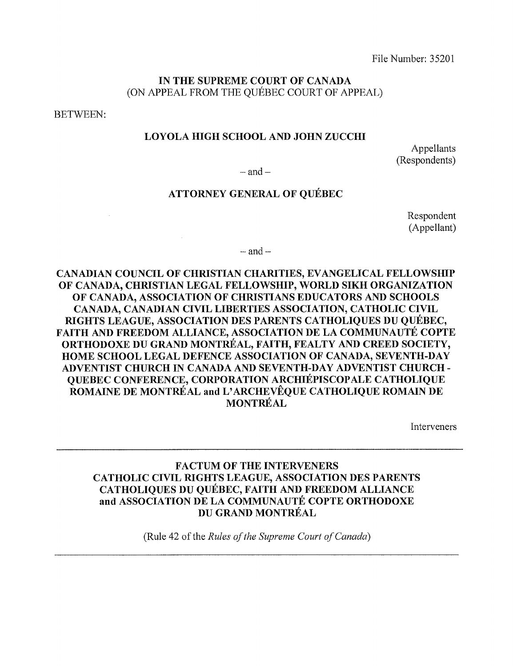File Number: 35201

### IN THE SUPREME COURT OF CANADA (ON APPEAL FROM THE QUEBEC COURT OF APPEAL)

BETWEEN:

#### LOYOLA HIGH SCHOOL AND JOHN ZUCCHI

Appellants (Respondents)

 $-$  and  $-$ 

## ATTORNEY GENERAL OF QUEBEC

Respondent (Appellant)

 $-$  and  $-$ 

CANADIAN COUNCIL OF CHRISTIAN CHARITIES, EVANGELICAL FELLOWSHIP OF CANADA, CHRISTIAN LEGAL FELLOWSHIP, WORLD SIKH ORGANIZATION OF CANADA, ASSOCIATION OF CHRISTIANS EDUCATORS AND SCHOOLS CANADA, CANADIAN CIVIL LIBERTIES ASSOCIATION, CATHOLIC CIVIL RIGHTS LEAGUE, ASSOCIATION DES PARENTS CATHOLIQUES DU QUEBEC, FAITH AND FREEDOM ALLIANCE, ASSOCIATION DE LA COMMUNAUTE COPTE ORTHODOXE DU GRAND MONTREAL, FAITH, FEALTY AND CREED SOCIETY, HOME SCHOOL LEGAL DEFENCE ASSOCIATION OF CANADA, SEVENTH-DAY ADVENTIST CHURCH IN CANADA AND SEVENTH-DAY ADVENTIST CHURCH - QUEBEC CONFERENCE, CORPORATION ARCHIEPISCOPALE CATHOLIQUE ROMAINE DE MONTREAL and L' ARCHEVEQUE CATHOLIQUE ROMAIN DE **MONTRÉAL** 

Interveners

### FACTUM OF THE INTERVENERS CATHOLIC CIVIL RIGHTS LEAGUE, ASSOCIATION DES PARENTS CATHOLIQUES DU QUEBEC, FAITH AND FREEDOM ALLIANCE and ASSOCIATION DE LA COMMUNAUTE COPTE ORTHODOXE DU GRAND MONTREAL

(Rule 42 of the *Rules a/the Supreme Court a/Canada)*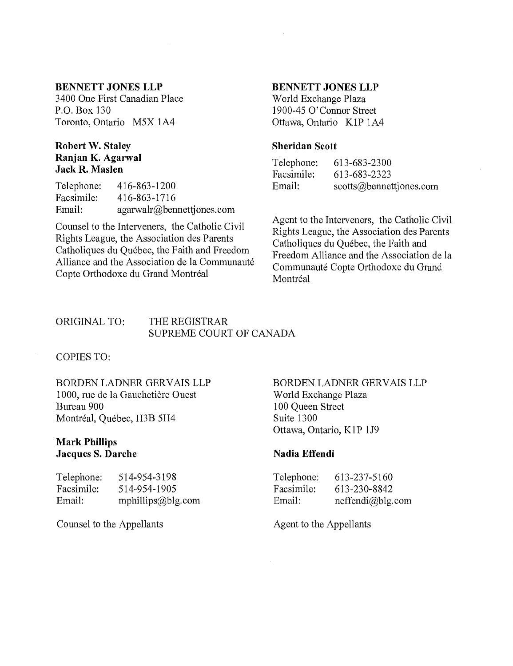#### **BENNETT JONES LLP**

3400 One First Canadian Place P.O. Box 130 Toronto, Ontario M5X lA4

#### **Robert W. Staley Ranjan K. Agarwal Jack R. Maslen**

Telephone: Facsimile: Email: 416-863-1200 416-863-1716 agarwalr@bennettjones.com

Counsel to the Interveners, the Catholic Civil Rights League, the Association des Parents Catholiques du Quebec, the Faith and Freedom Alliance and the Association de la Communauté Copte Orthodoxe du Grand Montréal

#### **BENNETT JONES LLP**

World Exchange Plaza 1900-45 0' Connor Street Ottawa, Ontario KIP lA4

#### **Sheridan Scott**

Telephone: Facsimile: Email: 613-683-2300 613-683-2323 scotts@bennettjones.com

Agent to the Interveners, the Catholic Civil Rights League, the Association des Parents Catholiques du Quebec, the Faith and Freedom Alliance and the Association de la Communauté Copte Orthodoxe du Grand Montréal

#### ORIGINAL TO: THE REGISTRAR SUPREME COURT OF CANADA

COPIES TO:

BORDEN LADNER GERVAIS LLP 1000, rue de la Gauchetière Ouest Bureau 900 Montréal, Québec, H3B 5H4

#### **Mark Phillips Jacques S. Darche**

| Telephone: | 514-954-3198      |
|------------|-------------------|
| Facsimile: | 514-954-1905      |
| Email:     | mphillips@blg.com |

Counsel to the Appellants

#### BORDEN LADNER GERVAIS LLP World Exchange Plaza 100 Queen Street Suite 1300 Ottawa, Ontario, KIP 1J9

#### **Nadia Effendi**

| Telephone: | 613-237-5160     |
|------------|------------------|
| Facsimile: | 613-230-8842     |
| Email:     | neffendi@blg.com |

Agent to the Appellants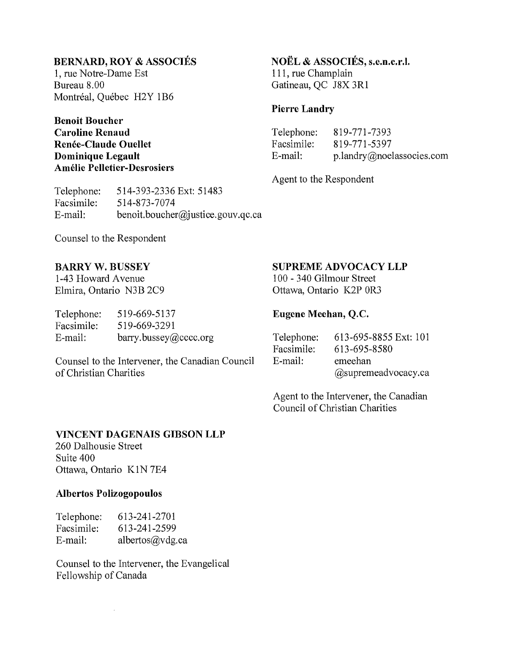### **BERNARD. ROY & ASSOCIES**

1, rue Notre~Dame Est Bureau 8.00 Montréal, Québec H2Y 1B6

#### **Benoit Boucher Caroline Renaud Renee-Claude Ouellet Dominique Legault Amelie Pelletier-Desrosiers**

Telephone: Facsimile: E~mail: 514~393~2336 Ext: 51483 514~873~ 7074 benoit.boucher@justice.gouv.qc.ca

## **NOEL & ASSOCIES, s.e.n.c.r.l.**

111, rue Champlain Gatineau, QC J8X 3R1

### **Pierre Landry**

Telephone: Facsimile: E~mail: 819~ 771-7393 819~771~5397 p.landry@noelassocies.com

Agent to the Respondent

Counsel to the Respondent

### **BARRY W. BUSSEY**

1-43 Howard Avenue Elmira, Ontario N3B 2C9

| Telephone: | 519-669-5137         |
|------------|----------------------|
| Facsimile: | 519-669-3291         |
| E-mail:    | bary.bussey@cccc.org |

Counsel to the Intervener, the Canadian Council of Christian Charities

### **SUPREME ADVOCACY LLP**

1 00 ~ 340 Gilmour Street Ottawa, Ontario K2P OR3

### **Eugene Meehan, Q.C.**

| Telephone: | 613-695-8855 Ext: 101 |
|------------|-----------------------|
| Facsimile: | 613-695-8580          |
| E-mail:    | emeehan               |
|            | @supremeadvocacy.ca   |

Agent to the Intervener, the Canadian Council of Christian Charities

#### **VINCENT DAGENAIS GIBSON LLP**

260 Dalhousie Street Suite 400 Ottawa, Ontario KIN 7E4

### **Albertos Polizogopoulos**

| Telephone: | 613-241-2701    |
|------------|-----------------|
| Facsimile: | 613-241-2599    |
| E-mail:    | albertos@vdg.ca |

 $\mathcal{L}^{\pm}$ 

Counsel to the Intervener, the Evangelical Fellowship of Canada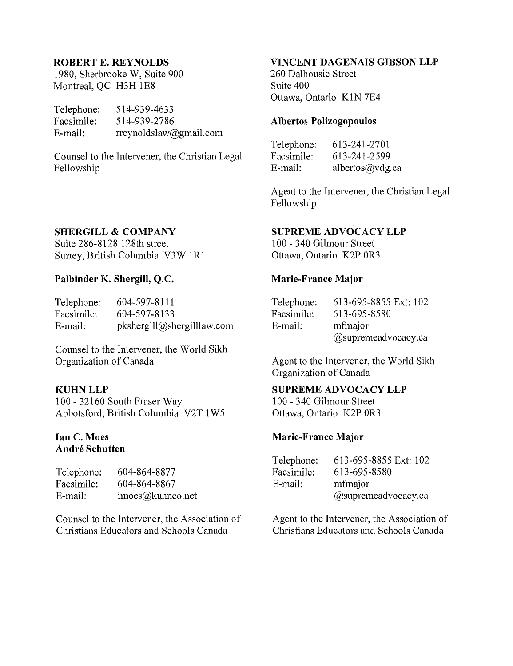#### ROBERT E. REYNOLDS

1980, Sherbrooke W, Suite 900 Montreal, QC H3H 1E8

| Telephone: | 514-939-4633           |
|------------|------------------------|
| Facsimile: | 514-939-2786           |
| E-mail:    | rreynoldslaw@gmail.com |

Counsel to the Intervener, the Christian Legal Fellowship

#### SHERGILL & COMPANY

Suite 286-8128 128th street Surrey, British Columbia V3W 1R1

### Palbinder K. Shergill, Q.C.

| Telephone: | 604-597-8111               |
|------------|----------------------------|
| Facsimile: | 604-597-8133               |
| E-mail:    | pkshergill@shergilllaw.com |

Counsel to the Intervener, the World Sikh Organization of Canada

#### KUHNLLP

100 - 32160 South Fraser Way Abbotsford, British Columbia V2T 1 W5

#### Ian C. Moes André Schutten

| Telephone: | 604-864-8877     |
|------------|------------------|
| Facsimile: | 604-864-8867     |
| E-mail:    | imoes@kuhneo.net |

Counsel to the Intervener, the Association of Christians Educators and Schools Canada

### VINCENT DAGENAIS GIBSON LLP

260 Dalhousie Street Suite 400 Ottawa, Ontario KIN 7E4

#### Albertos Polizogopoulos

| Telephone: | 613-241-2701    |
|------------|-----------------|
| Facsimile: | 613-241-2599    |
| E-mail:    | albertos@vdg.ca |

Agent to the Intervener, the Christian Legal Fellowship

#### SUPREME ADVOCACY LLP

100 - 340 Gilmour Street Ottawa, Ontario K2P OR3

#### Marie-France Major

| Telephone: | 613-695-8855 Ext: 102 |
|------------|-----------------------|
| Facsimile: | 613-695-8580          |
| E-mail:    | mfmajor               |
|            | @supremeadvocacy.ca   |

Agent to the Intervener, the World Sikh Organization of Canada

### SUPREME ADVOCACY LLP

100 - 340 Gilmour Street Ottawa, Ontario K2P OR3

#### Marie-France Major

| Telephone: | 613-695-8855 Ext: 102 |
|------------|-----------------------|
| Facsimile: | 613-695-8580          |
| E-mail:    | mfmajor               |
|            | @supremeadvocacy.ca   |

Agent to the Intervener, the Association of Christians Educators and Schools Canada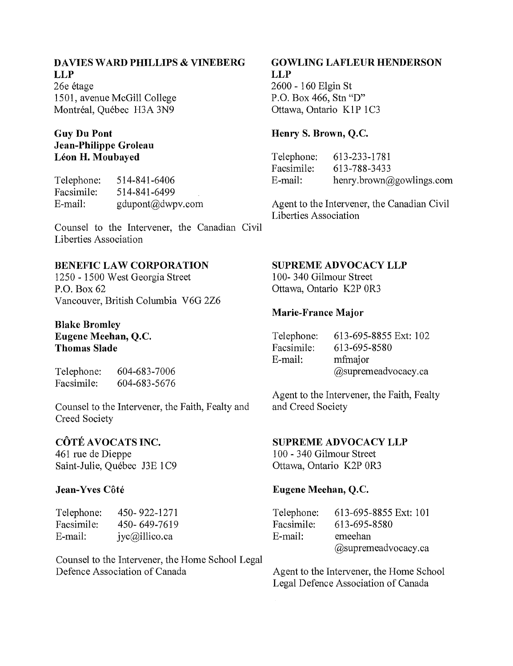### **DAVIES WARD PHILLIPS & VINEBERG LLP**

26e étage 1501, avenue McGill College Montréal, Québec H3A 3N9

### **Guy Du Pont Jean-Philippe Groleau Leon H. Moubayed**

Telephone: Facsimile: E~mail: 514~841 ~6406 514~841 ~6499 gdupont@dwpv.com

Counsel to the Intervener, the Canadian Civil Liberties Association

## **BENEFIC LAW CORPORATION**

1250 ~ 1500 West Georgia Street P.O. Box 62 Vancouver, British Columbia V6G 2Z6

#### **Blake Bromley Eugene Meehan, Q.c. Thomas Slade**

Telephone: Facsimile: 604~683~ 7006 604~683~5676

Counsel to the Intervener, the Faith, Fealty and Creed Society

## **COTE AVOCATS INC.**

461 rue de Dieppe Saint-Julie, Québec J3E 1C9

### Jean-Yves Côté

| Telephone: | 450-922-1271  |
|------------|---------------|
| Facsimile: | 450-649-7619  |
| E-mail:    | jyc@illico.ca |

Counsel to the Intervener, the Home School Legal Defence Association of Canada

## **GOWLING LAFLEUR HENDERSON LLP**

2600 ~ 160 Elgin St P.O. Box 466, Stn "D" Ottawa, Ontario K1P 1C3

### **Henry S. Brown, Q.c.**

Telephone: Facsimile: E~mail: 613~233~1781 613~ 788~3433 henry.brown@gowlings.com

Agent to the Intervener, the Canadian Civil Liberties Association

#### **SUPREME ADVOCACY LLP**

1 OO~ 340 Gilmour Street Ottawa, Ontario K2P OR3

### Marie~France **Major**

| Telephone: | 613-695-8855 Ext: 102 |
|------------|-----------------------|
| Facsimile: | 613-695-8580          |
| E-mail:    | mfmajor               |
|            | @supremeadvocacy.ca   |

Agent to the Intervener, the Faith, Fealty and Creed Society

### **SUPREME ADVOCACY LLP**

1 00 ~ 340 Gilmour Street Ottawa, Ontario K2P OR3

## **Eugene Meehan, Q.c.**

| Telephone: | 613-695-8855 Ext: 101  |
|------------|------------------------|
| Facsimile: | 613-695-8580           |
| E-mail:    | emeehan                |
|            | $@$ supremeadvocacy.ca |

Agent to the Intervener, the Home School Legal Defence Association of Canada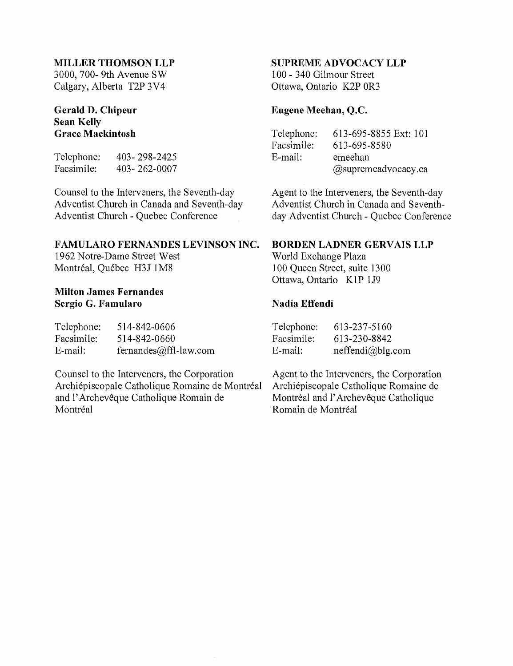#### **MILLER THOMSON LLP**

3000, 700- 9th Avenue SW Calgary, Alberta T2P 3V4

#### **Gerald D. Chipeur Sean Kelly Grace Mackintosh**

Telephone: Facsimile: 403- 298-2425 403- 262-0007

Counsel to the Interveners, the Seventh-day Adventist Church in Canada and Seventh-day Adventist Church - Quebec Conference

#### **FAMULARO FERNANDES LEVINSON INC.**

1962 Notre-Dame Street West Montréal, Québec H3J 1M8

#### **Milton James Fernandes Sergio G. Famularo**

| Telephone: | 514-842-0606          |
|------------|-----------------------|
| Facsimile: | 514-842-0660          |
| E-mail:    | fernandes@ffl-law.com |

Counsel to the Interveners, the Corporation Archiepiscopale Catholique Romaine de Montreal and l' Archeveque Catholique Romain de Montréal

#### **SUPREME ADVOCACY LLP**

100 - 340 Gilmour Street Ottawa, Ontario K2P OR3

#### **Eugene Meehan, Q.C.**

| Telephone: | 613-695-8855 Ext: 101  |
|------------|------------------------|
| Facsimile: | 613-695-8580           |
| E-mail:    | emeehan                |
|            | $@$ supremeadvocacy.ca |

Agent to the Interveners, the Seventh-day Adventist Church in Canada and Seventhday Adventist Church - Quebec Conference

#### **BORDEN LADNER GERVAIS LLP**

World Exchange Plaza 100 Queen Street, suite 1300 Ottawa, Ontario K1P 1J9

#### **Nadia Effendi**

| Telephone: | 613-237-5160     |
|------------|------------------|
| Facsimile: | 613-230-8842     |
| E-mail:    | neffendi@blg.com |

Agent to the Interveners, the Corporation Archiepiscopale Catholique Romaine de Montréal and l'Archevêque Catholique Romain de Montreal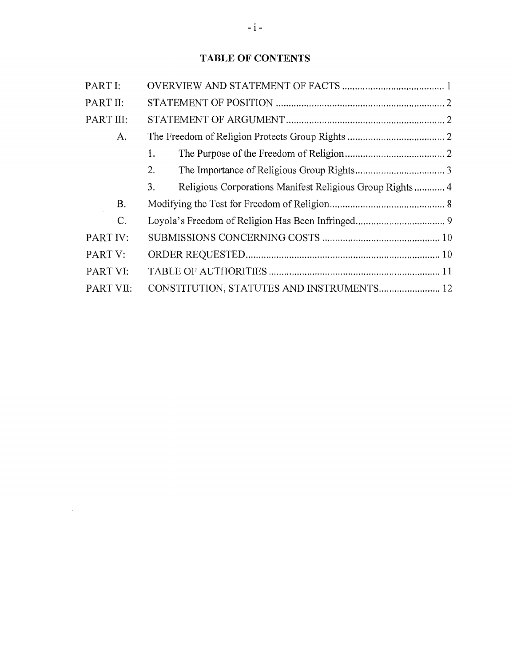## **TABLE OF CONTENTS**

| PART I:   |                                                                |
|-----------|----------------------------------------------------------------|
| PART II:  |                                                                |
| PART III: |                                                                |
| A.        |                                                                |
|           | 1.                                                             |
|           | 2.                                                             |
|           | 3.<br>Religious Corporations Manifest Religious Group Rights 4 |
| <b>B.</b> |                                                                |
| C.        |                                                                |
| PART IV:  |                                                                |
| PART V:   |                                                                |
| PART VI:  |                                                                |
| PART VII: | CONSTITUTION, STATUTES AND INSTRUMENTS 12                      |

 $\mathcal{L}^{\text{max}}_{\text{max}}$  and  $\mathcal{L}^{\text{max}}_{\text{max}}$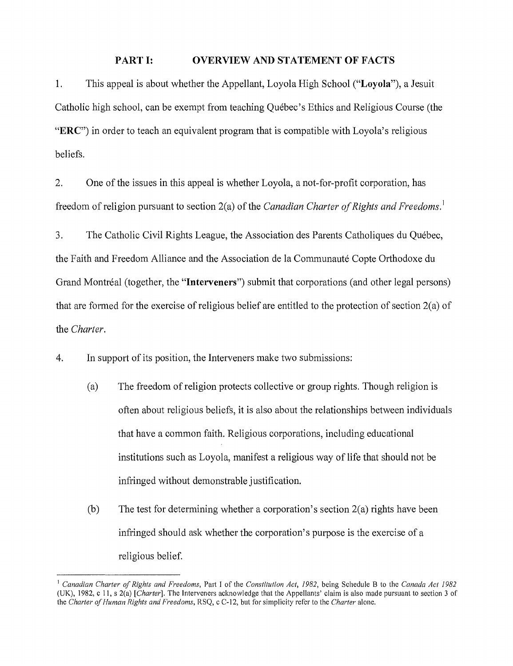### **PART I: OVERVIEW AND STATEMENT OF FACTS**

1. This appeal is about whether the Appellant, Loyola High School ("Loyola"), a Jesuit Catholic high school, can be exempt from teaching Quebec's Ethics and Religious Course (the "ERC") in order to teach an equivalent program that is compatible with Loyola's religious beliefs.

2. One of the issues in this appeal is whether Loyola, a not-for-profit corporation, has freedom of religion pursuant to section 2(a) of the *Canadian Charter of Rights and Freedoms.* <sup>I</sup>

3. The Catholic Civil Rights League, the Association des Parents Catholiques du Quebec, the Faith and Freedom Alliance and the Association de la Communaute Copte Orthodoxe du Grand Montréal (together, the "**Interveners**") submit that corporations (and other legal persons) that are formed for the exercise of religious belief are entitled to the protection of section 2(a) of the *Charter.* 

4. **In** support of its position, the Interveners make two submissions:

- (a) The freedom of religion protects collective or group rights. Though religion is often about religious beliefs, it is also about the relationships between individuals that have a common faith. Religious corporations, including educational institutions such as Loyola, manifest a religious way of life that should not be infringed without demonstrable justification.
- (b) The test for determining whether a corporation's section 2(a) rights have been infringed should ask whether the corporation's purpose is the exercise of a religious belief.

<sup>I</sup>*Canadian Charter of Rights and Freedoms,* Part I of the *Constitution Act, 1982,* being Schedule B to the *Canada Act 1982*  (UK), 1982, c II, s 2(a) *[Charter].* The Interveners acknowledge that the Appellants' claim is also made pursuant to section 3 of the *Charter of Human Rights and Freedoms,* RSQ, c C-12, but for simplicity refer to the *Charter* alone.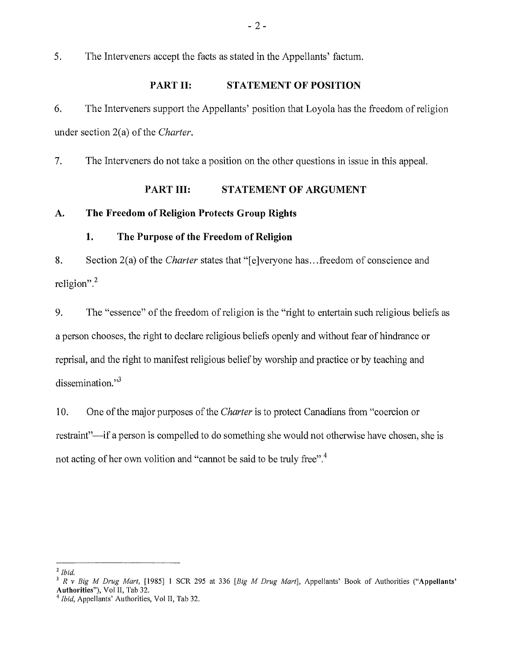5. The Interveners accept the facts as stated in the Appellants' factum.

#### PART II: **STATEMENT OF POSITION**

6. The Interveners support the Appellants' position that Loyola has the freedom of religion under section 2(a) of the *Charter.* 

7. The Interveners do not take a position on the other questions in issue in this appeal.

#### **PART III: STATEMENT OF ARGUMENT**

## **A. The Freedom of Religion Protects Group Rights**

#### **1. The Purpose of the Freedom of Religion**

8. Section 2(a) of the *Charter* states that "[e]veryone has ... freedom of conscience and religion". <sup>2</sup>

9. The "essence" of the freedom of religion is the "right to entertain such religious beliefs as a person chooses, the right to declare religious beliefs openly and without fear of hindrance or reprisal, and the right to manifest religious belief by worship and practice or by teaching and dissemination." $3$ 

10. One of the major purposes of the *Charter* is to protect Canadians from "coercion or restraint"-if a person is compelled to do something she would not otherwise have chosen, she is not acting of her own volition and "cannot be said to be truly free".<sup>4</sup>

*<sup>2</sup> Ibid.* 

<sup>3</sup>*R* v *Big M Drug Mart,* [1985] 1 SCR 295 at 336 *[Big M Drug Mart],* Appellants' Book of Authorities ("Appellants' Authorities"), Vol II, Tab 32.

*<sup>4</sup> Ibid,* Appellants' Authorities, Vol II, Tab 32.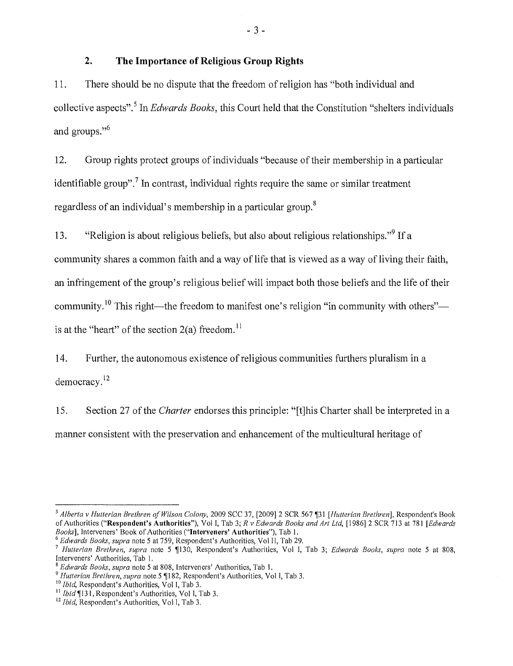### **2. The Importance of Religious Group Rights**

11. There should be no dispute that the freedom of religion has "both individual and collective aspects".<sup>5</sup> In *Edwards Books*, this Court held that the Constitution "shelters individuals" and groups."<sup>6</sup>

12. Group rights protect groups of individuals "because of their membership in a particular identifiable group".<sup>7</sup> In contrast, individual rights require the same or similar treatment regardless of an individual's membership in a particular group. <sup>8</sup>

13. "Religion is about religious beliefs, but also about religious relationships."<sup>9</sup> If a community shares a common faith and a way of life that is viewed as a way of living their faith, an infringement of the group's religious belief will impact both those beliefs and the life of their community. <sup>10</sup> This right—the freedom to manifest one's religion "in community with others"-is at the "heart" of the section  $2(a)$  freedom.<sup>11</sup>

14. Further, the autonomous existence of religious communities furthers pluralism in a democracy. <sup>12</sup>

15. Section 27 of the *Charter* endorses this principle: "[t]his Charter shall be interpreted in a manner consistent with the preservation and enhancement of the multicultural heritage of

*<sup>5</sup> Alberta* v *Hutterian Brethren of Wilson Colony,* 2009 SCC 37, [2009] 2 SCR 567 ~31 *[Hutterian Brethren],* Respondent's Book of Authorities ("Respondent's Authorities"), Vol I, Tab 3; *R* v *Edwards Books and Art Ltd,* [1986] 2 SCR 713 at 781 *[Edwards Books],* Interveners' Book of Authorities ("Interveners' Authorities"), Tab I.

*<sup>6</sup> Edwards Books, supra* note 5 at 759, Respondent's Authorities, VollI, Tab 29.

<sup>&</sup>lt;sup>7</sup> Hutterian Brethren, supra note 5 ¶130, Respondent's Authorities, Vol I, Tab 3; *Edwards Books, supra* note 5 at 808, Interveners' Authorities, Tab I.

<sup>8</sup>*Edwards Books, supra* note 5 at 808, Interveners' Authorities, Tab I.

<sup>9</sup>*Hutterian Brethren, supra* note 5 'j182, Respondent's Authorities, Vol I, Tab 3.

<sup>10</sup>*Ibid,* Respondent's Authorities, Vol I, Tab 3.

 $11$  Ibid  $\P$ 131, Respondent's Authorities, Vol I, Tab 3.

<sup>12</sup> *Ibid,* Respondent's Authorities, Vol I, Tab 3.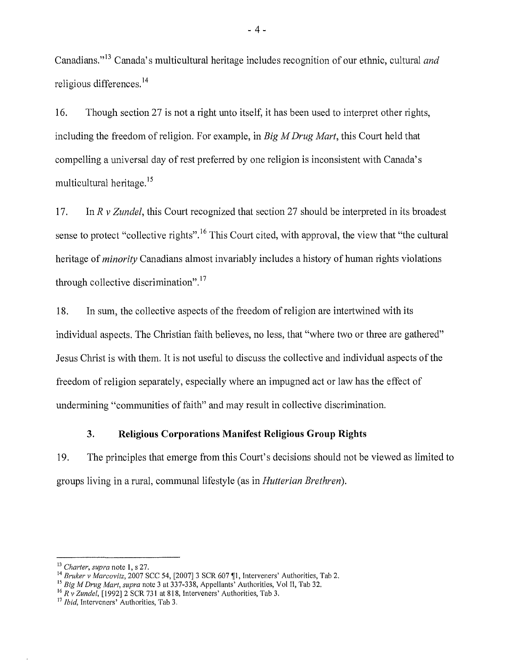Canadians."<sup>13</sup> Canada's multicultural heritage includes recognition of our ethnic, cultural *and* religious differences. 14

16. Though section 27 is not a right unto itself, it has been used to interpret other rights, including the freedom of religion. For example, in *Big M Drug Mart,* this Court held that compelling a universal day of rest preferred by one religion is inconsistent with Canada's multicultural heritage. <sup>15</sup>

17. In *R* v *Zundel,* this Court recognized that section 27 should be interpreted in its broadest sense to protect "collective rights".<sup>16</sup> This Court cited, with approval, the view that "the cultural" heritage of *minority* Canadians almost invariably includes a history of human rights violations through collective discrimination".<sup>17</sup>

18. In sum, the collective aspects of the freedom of religion are intertwined with its individual aspects. The Christian faith believes, no less, that "where two or three are gathered" Jesus Christ is with them. It is not useful to discuss the collective and individual aspects of the freedom of religion separately, especially where an impugned act or law has the effect of undermining "communities of faith" and may result in collective discrimination.

#### **3. Religious Corporations Manifest Religious Group Rights**

19. The principles that emerge from this Court's decisions should not be viewed as limited to groups living in a rural, communal lifestyle (as in *Hutterian Brethren).* 

- 4 -

<sup>13</sup>*Charter, supra* note I, s 27.

<sup>14</sup> Bruker v Marcovitz, 2007 SCC 54, [2007] 3 SCR 607 . Interveners' Authorities, Tab 2.

<sup>15</sup>*Big M Drug Mart, supra* note 3 at 337-338, Appellants' Authorities, Vol II, Tab 32.

<sup>16</sup>*R* v *Zundel,* [1992] 2 SCR 731 at 818, Interveners' Authorities, Tab 3.

<sup>&</sup>lt;sup>17</sup> *Ibid*, Interveners' Authorities, Tab 3.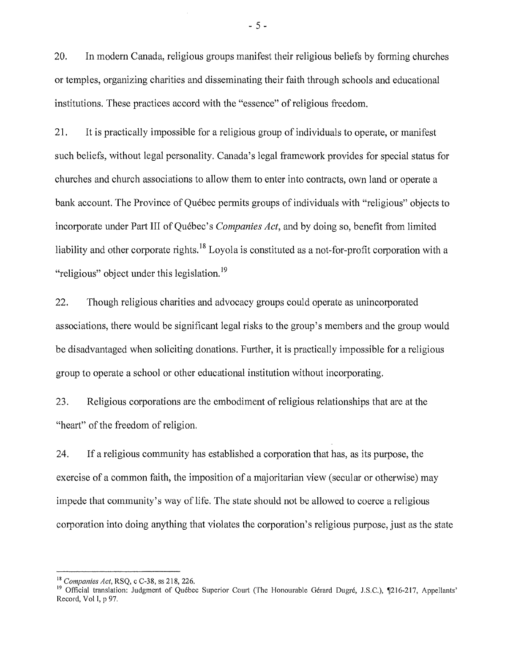20. In modern Canada, religious groups manifest their religious beliefs by forming churches or temples, organizing charities and disseminating their faith through schools and educational institutions. These practices accord with the "essence" of religious freedom.

21. It is practically impossible for a religious group of individuals to operate, or manifest such beliefs, without legal personality. Canada's legal framework provides for special status for churches and church associations to allow them to enter into contracts, own land or operate a bank account. The Province of Québec permits groups of individuals with "religious" objects to incorporate under Part **III** of Quebec's *Companies Act,* and by doing so, benefit from limited liability and other corporate rights.<sup>18</sup> Loyola is constituted as a not-for-profit corporation with a "religious" object under this legislation. <sup>19</sup>

22. Though religious charities and advocacy groups could operate as unincorporated associations, there would be significant legal risks to the group's members and the group would be disadvantaged when soliciting donations. Further, it is practically impossible for a religious group to operate a school or other educational institution without incorporating.

23. Religious corporations are the embodiment of religious relationships that are at the "heart" of the freedom of religion.

24. If a religious community has established a corporation that has, as its purpose, the exercise of a common faith, the imposition of a majoritarian view (secular or otherwise) may impede that community's way of life. The state should not be allowed to coerce a religious corporation into doing anything that violates the corporation's religious purpose, just as the state

- 5 -

<sup>18</sup>*Companies Act,* RSQ, c C-38, ss 218,226.

<sup>&</sup>lt;sup>19</sup> Official translation: Judgment of Québec Superior Court (The Honourable Gérard Dugré, J.S.C.), ¶216-217, Appellants' Record, Vol I, p 97,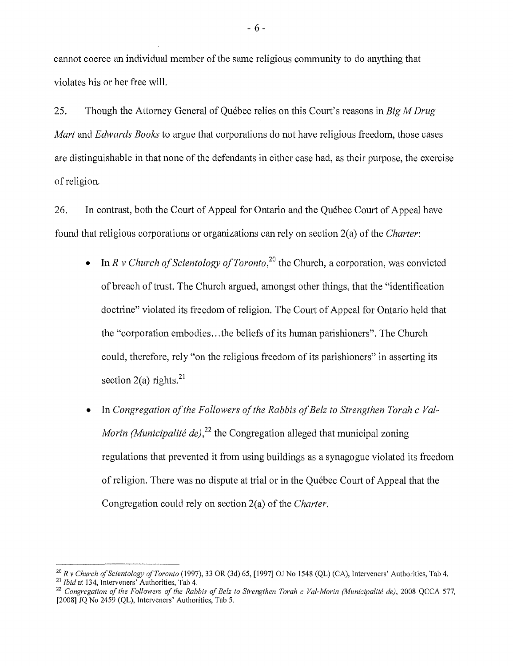cannot coerce an individual member of the same religious community to do anything that violates his or her free will.

25. Though the Attorney General of Quebec relies on this Court's reasons in *Big M Drug Mart* and *Edwards Books* to argue that corporations do not have religious freedom, those cases are distinguishable in that none of the defendants in either case had, as their purpose, the exercise of religion.

26. In contrast, both the Court of Appeal for Ontario and the Quebec Court of Appeal have found that religious corporations or organizations can rely on section 2(a) of the *Charter:* 

- In *R v Church of Scientology of Toronto*,<sup>20</sup> the Church, a corporation, was convicted of breach of trust. The Church argued, amongst other things, that the "identification doctrine" violated its freedom of religion. The Court of Appeal for Ontario held that the "corporation embodies ... the beliefs of its human parishioners". The Church could, therefore, rely "on the religious freedom of its parishioners" in asserting its section  $2(a)$  rights.<sup>21</sup>
- In *Congregation of the Followers of the Rabbis of Belz to Strengthen Torah c Val-Morin (Municipalité de)*,<sup>22</sup> the Congregation alleged that municipal zoning regulations that prevented it from using buildings as a synagogue violated its freedom of religion. There was no dispute at trial or in the Quebec Court of Appeal that the Congregation could rely on section 2(a) of the *Charter.*

- 6 -

*<sup>20</sup> R* v *Church of Scientology of Toronto* (1997), 33 OR (3d) 65, [1997] OJ No 1548 (QL) (CA), Interveners' Authorities, Tab 4. <sup>21</sup>*Ibid* at 134, Interveners' Authorities, Tab 4.

<sup>&</sup>lt;sup>22</sup> Congregation of the Followers of the Rabbis of Belz to Strengthen Torah c Val-Morin (Municipalité de), 2008 QCCA 577, [2008] JQ No 2459 (QL), Interveners' Authorities, Tab 5.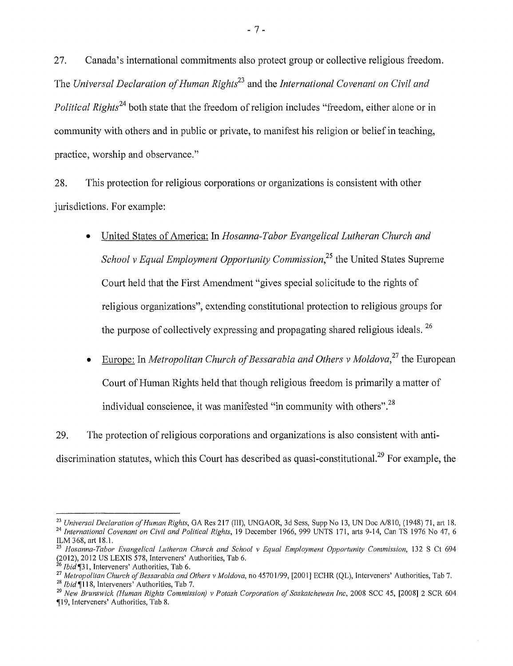27. Canada's international commitments also protect group or collective religious freedom. The *Universal Declaration of Human Righti<sup>3</sup>*and the *International Covenant on Civil and Political Rights*<sup>24</sup> both state that the freedom of religion includes "freedom, either alone or in community with others and in public or private, to manifest his religion or belief in teaching, practice, worship and observance."

28. This protection for religious corporations or organizations is consistent with other jurisdictions. For example:

- United States of America: In *Hosanna-Tabor Evangelical Lutheran Church and School* v *Equal Employment Opportunity Commission,25* the United States Supreme Court held that the First Amendment "gives special solicitude to the rights of religious organizations", extending constitutional protection to religious groups for the purpose of collectively expressing and propagating shared religious ideals. 26
- Europe: In *Metropolitan Church of Bessarabia and Others* v *Moldova,27* the European Court of Human Rights held that though religious freedom is primarily a matter of individual conscience, it was manifested "in community with others".<sup>28</sup>

29. The protection of religious corporations and organizations is also consistent with antidiscrimination statutes, which this Court has described as quasi-constitutional.<sup>29</sup> For example, the

<sup>&</sup>lt;sup>23</sup> Universal Declaration of Human Rights, GA Res 217 (III), UNGAOR, 3d Sess, Supp No 13, UN Doc A/810, (1948) 71, art 18. <sup>24</sup> International Covenant on Civil and Political Rights, 19 December 1966, 999 UNTS 171, arts 9-14, Can TS 1976 No 47, 6 ILM 368, art 18.1.

*<sup>25</sup> Hosanna-Tabor Evangelical Lutheran Church and School* v *Equal Employment Opportunity Commission,* 132 S Ct 694 (2012),2012 US LEXIS 578, Interveners' Authorities, Tab 6.

<sup>&</sup>lt;sup>26</sup> *Ibid* [31, Interveners' Authorities, Tab 6.

*<sup>27</sup> Metropolitan Church of Bessarabia and Others* v *Moldova,* no 45701/99, [2001] ECHR (QL), Interveners' Authorities, Tab 7.

<sup>&</sup>lt;sup>28</sup> *Ibid* ¶118, Interveners' Authorities, Tab 7.

*<sup>29</sup> New Brunswick (Human Rights Commission)* v *Potash Corporation of Saskatchewan Inc,* 2008 SCC 45, [2008] 2 SCR 604 "1119, Interveners' Authorities, Tab 8.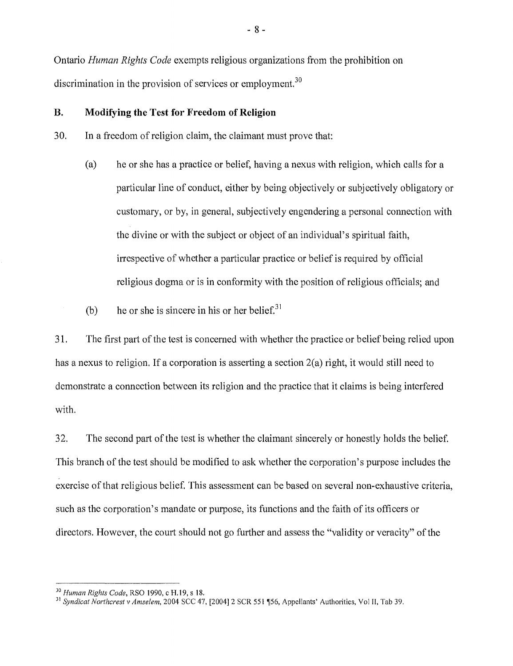Ontario *Human Rights Code* exempts religious organizations from the prohibition on discrimination in the provision of services or employment.<sup>30</sup>

#### **B. Modifying the Test for Freedom of Religion**

30. In a freedom of religion claim, the claimant must prove that:

- (a) he or she has a practice or belief, having a nexus with religion, which calls for a particular line of conduct, either by being objectively or subjectively obligatory or customary, or by, in general, subjectively engendering a personal connection with the divine or with the subject or object of an individual's spiritual faith, irrespective of whether a particular practice or belief is required by official religious dogma or is in conformity with the position of religious officials; and
- (b) he or she is sincere in his or her belief. $31$

31. The first part of the test is concerned with whether the practice or belief being relied upon has a nexus to religion. If a corporation is asserting a section 2(a) right, it would still need to demonstrate a connection between its religion and the practice that it claims is being interfered with.

32. The second part of the test is whether the claimant sincerely or honestly holds the belief. This branch of the test should be modified to ask whether the corporation's purpose includes the exercise of that religious belief. This assessment can be based on several non-exhaustive criteria, such as the corporation's mandate or purpose, its functions and the faith of its officers or directors. However, the court should not go further and assess the "validity or veracity" of the

- 8 -

*<sup>30</sup> Human Rights Code,* RSO 1990, c H, 19, s 18,

<sup>&</sup>lt;sup>31</sup> Syndicat Northcrest v Amselem, 2004 SCC 47, [2004] 2 SCR 551 [56, Appellants' Authorities, Vol II, Tab 39.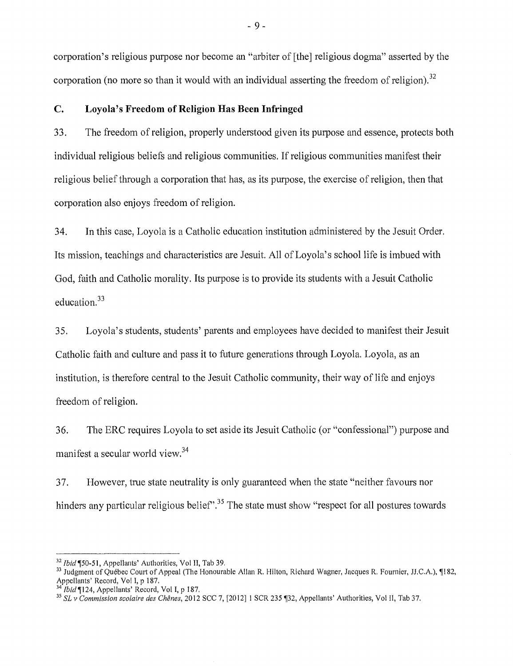corporation's religious purpose nor become an "arbiter of [the] religious dogma" asserted by the corporation (no more so than it would with an individual asserting the freedom of religion).<sup>32</sup>

#### **C. Loyola's Freedom of Religion Has Been Infringed**

33. The freedom of religion, properly understood given its purpose and essence, protects both individual religious beliefs and religious communities. If religious communities manifest their religious belief through a corporation that has, as its purpose, the exercise of religion, then that corporation also enjoys freedom of religion.

34. **In** this case, Loyola is a Catholic education institution administered by the Jesuit Order. Its mission, teachings and characteristics are Jesuit. All of Loyola's school life is imbued with God, faith and Catholic morality. Its purpose is to provide its students with a Jesuit Catholic education.<sup>33</sup>

35. Loyola's students, students' parents and employees have decided to manifest their Jesuit Catholic faith and culture and pass it to future generations through Loyola. Loyola, as an institution, is therefore central to the Jesuit Catholic community, their way of life and enjoys freedom of religion.

36. The ERC requires Loyola to set aside its Jesuit Catholic (or "confessional") purpose and manifest a secular world view.<sup>34</sup>

37. However, true state neutrality is only guaranteed when the state "neither favours nor hinders any particular religious belief".<sup>35</sup> The state must show "respect for all postures towards

<sup>~</sup>9 <sup>~</sup>

<sup>32</sup>*Ibid'150-51* , Appellants' Authorities, Vol II, Tab 39.

<sup>&</sup>lt;sup>33</sup> Judgment of Québec Court of Appeal (The Honourable Allan R. Hilton, Richard Wagner, Jacques R. Fournier, JJ.C.A.), ¶182, Appellants' Record, Vol I, p 187.

*<sup>34</sup> Ibid* '[124, Appellants' Record, Vol I, p 187.

<sup>&</sup>lt;sup>35</sup> SL v Commission scolaire des Chênes, 2012 SCC 7, [2012] 1 SCR 235 ¶32, Appellants' Authorities, Vol II, Tab 37.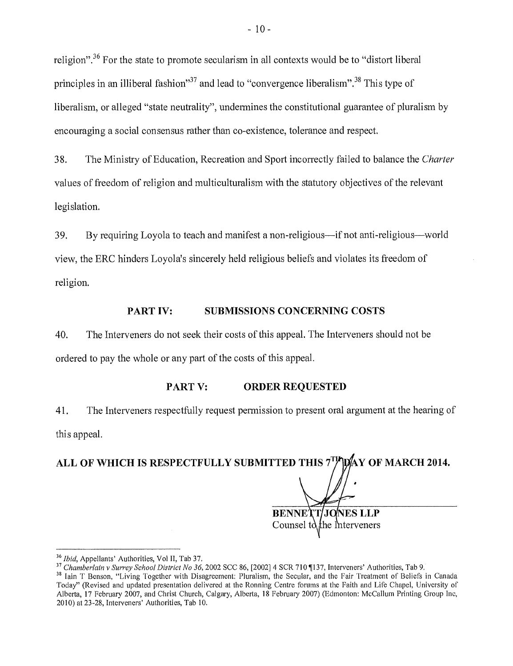religion".36 For the state to promote secularism in all contexts would be to "distort liberal principles in an illiberal fashion<sup>37</sup> and lead to "convergence liberalism".<sup>38</sup> This type of liberalism, or alleged "state neutrality", undermines the constitutional guarantee of pluralism by encouraging a social consensus rather than co-existence, tolerance and respect.

38. The Ministry of Education, Recreation and Sport incorrectly failed to balance the *Charter*  values of freedom of religion and multiculturalism with the statutory objectives of the relevant legislation.

39. By requiring Loyola to teach and manifest a non-religious—if not anti-religious—world view, the ERC hinders Loyola's sincerely held religious beliefs and violates its freedom of religion.

#### PART IV: **SUBMISSIONS CONCERNING COSTS**

40. The Interveners do not seek their costs of this appeal. The Interveners should not be ordered to pay the whole or any part of the costs of this appeal.

#### PART V: **ORDER REQUESTED**

41. The Interveners respectfully request permission to present oral argument at the hearing of this appeal.

ALL OF WHICH IS RESPECTFULLY SUBMITTED THIS 7<sup>TP</sup>DAY OF MARCH 2014.

**BENNETT JONES** Counsel to the Interveners

*<sup>36</sup> Ibid,* Appellants' Authorities, Vol II, Tab 37.

<sup>&</sup>lt;sup>37</sup> Chamberlain v Surrey School District No 36, 2002 SCC 86, [2002] 4 SCR 710 ¶137, Interveners' Authorities, Tab 9.

<sup>&</sup>lt;sup>38</sup> Iain T Benson, "Living Together with Disagreement: Pluralism, the Secular, and the Fair Treatment of Beliefs in Canada Today" (Revised and updated presentation delivered at the Ronning Centre forums at the Faith and Life Chapel, University of Alberta, 17 February 2007, and Christ Church, Calgary, Alberta, 18 February 2007) (Edmonton: McCallum Printing Group Inc, 2010) at 23-28, Interveners' Authorities, Tab 10.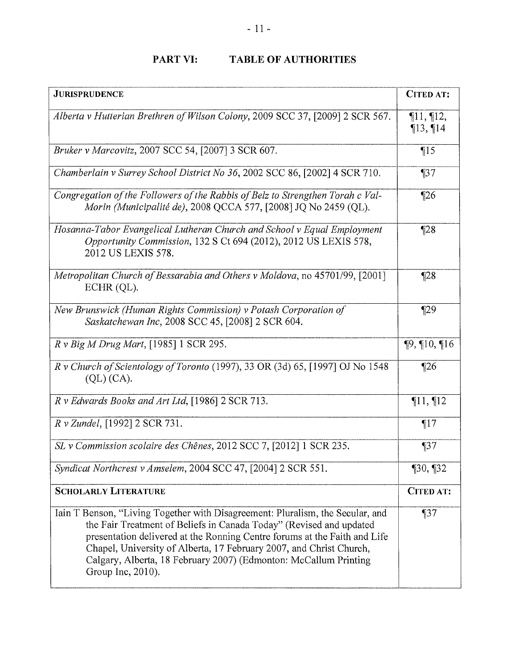## PART VI: TABLE OF AUTHORITIES

| <b>JURISPRUDENCE</b>                                                                                                                                                                                                                                                                                                                                                                               | <b>CITED AT:</b>                  |
|----------------------------------------------------------------------------------------------------------------------------------------------------------------------------------------------------------------------------------------------------------------------------------------------------------------------------------------------------------------------------------------------------|-----------------------------------|
| Alberta v Hutterian Brethren of Wilson Colony, 2009 SCC 37, [2009] 2 SCR 567.                                                                                                                                                                                                                                                                                                                      | $\P11, \P12,$<br>$\P$ 13, $\P$ 14 |
| Bruker v Marcovitz, 2007 SCC 54, [2007] 3 SCR 607.                                                                                                                                                                                                                                                                                                                                                 | $\P15$                            |
| Chamberlain v Surrey School District No 36, 2002 SCC 86, [2002] 4 SCR 710.                                                                                                                                                                                                                                                                                                                         | $\P$ 37                           |
| Congregation of the Followers of the Rabbis of Belz to Strengthen Torah c Val-<br>Morin (Municipalité de), 2008 QCCA 577, [2008] JQ No 2459 (QL).                                                                                                                                                                                                                                                  | $\P$ 26                           |
| Hosanna-Tabor Evangelical Lutheran Church and School v Equal Employment<br>Opportunity Commission, 132 S Ct 694 (2012), 2012 US LEXIS 578,<br>2012 US LEXIS 578.                                                                                                                                                                                                                                   | $\P$ 28                           |
| Metropolitan Church of Bessarabia and Others v Moldova, no 45701/99, [2001]<br>$ECHR$ (QL).                                                                                                                                                                                                                                                                                                        | $\P$ 28                           |
| New Brunswick (Human Rights Commission) v Potash Corporation of<br>Saskatchewan Inc, 2008 SCC 45, [2008] 2 SCR 604.                                                                                                                                                                                                                                                                                | $\P$ 29                           |
| $R \nu Biq M Drug Mart, [1985]$ 1 SCR 295.                                                                                                                                                                                                                                                                                                                                                         | $\P9, \P10, \P16$                 |
| $R$ v Church of Scientology of Toronto (1997), 33 OR (3d) 65, [1997] OJ No 1548<br>(QL) (CA).                                                                                                                                                                                                                                                                                                      | $\P$ 26                           |
| $R \nu$ Edwards Books and Art Ltd, [1986] 2 SCR 713.                                                                                                                                                                                                                                                                                                                                               | $\P11, \P12$                      |
| R v Zundel, [1992] 2 SCR 731.                                                                                                                                                                                                                                                                                                                                                                      | $\P17$                            |
| SL v Commission scolaire des Chênes, 2012 SCC 7, [2012] 1 SCR 235.                                                                                                                                                                                                                                                                                                                                 | $\P 37$                           |
| Syndicat Northcrest v Amselem, 2004 SCC 47, [2004] 2 SCR 551                                                                                                                                                                                                                                                                                                                                       | $\P$ 30, $\P$ 32                  |
| <b>SCHOLARLY LITERATURE</b>                                                                                                                                                                                                                                                                                                                                                                        | <b>CITED AT:</b>                  |
| Iain T Benson, "Living Together with Disagreement: Pluralism, the Secular, and<br>the Fair Treatment of Beliefs in Canada Today" (Revised and updated<br>presentation delivered at the Ronning Centre forums at the Faith and Life<br>Chapel, University of Alberta, 17 February 2007, and Christ Church,<br>Calgary, Alberta, 18 February 2007) (Edmonton: McCallum Printing<br>Group Inc, 2010). | $\P37$                            |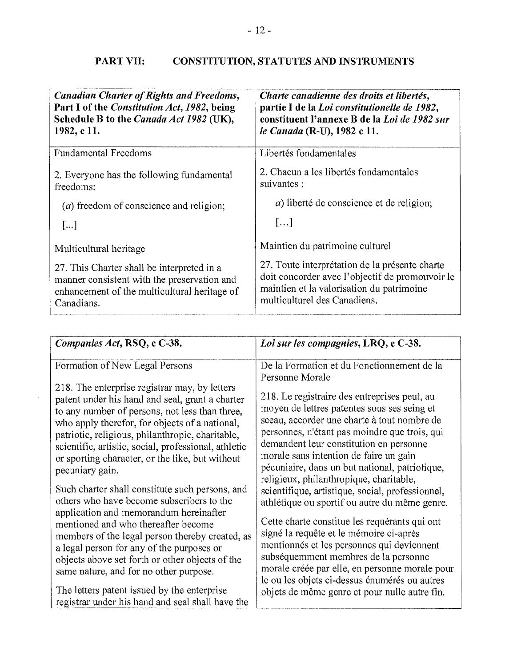# PART VII: CONSTITUTION, STATUTES AND INSTRUMENTS

| <b>Canadian Charter of Rights and Freedoms,</b><br>Part I of the Constitution Act, 1982, being<br>Schedule B to the Canada Act 1982 (UK),<br>1982, c 11. | Charte canadienne des droits et libertés,<br>partie I de la Loi constitutionelle de 1982,<br>constituent l'annexe B de la Loi de 1982 sur<br>le Canada (R-U), 1982 c 11.       |
|----------------------------------------------------------------------------------------------------------------------------------------------------------|--------------------------------------------------------------------------------------------------------------------------------------------------------------------------------|
| <b>Fundamental Freedoms</b>                                                                                                                              | Libertés fondamentales                                                                                                                                                         |
| 2. Everyone has the following fundamental<br>freedoms:                                                                                                   | 2. Chacun a les libertés fondamentales<br>suivantes :                                                                                                                          |
| (a) freedom of conscience and religion;                                                                                                                  | <i>a</i> ) liberté de conscience et de religion;                                                                                                                               |
| $\lceil  \rceil$                                                                                                                                         | []                                                                                                                                                                             |
| Multicultural heritage                                                                                                                                   | Maintien du patrimoine culturel                                                                                                                                                |
| 27. This Charter shall be interpreted in a<br>manner consistent with the preservation and<br>enhancement of the multicultural heritage of<br>Canadians.  | 27. Toute interprétation de la présente charte<br>doit concorder avec l'objectif de promouvoir le<br>maintien et la valorisation du patrimoine<br>multiculturel des Canadiens. |

| Companies Act, RSQ, c C-38.                                                                                                                                                                                                                                                                                                                                                                                                                                                                                                                                                                                                                                                                                                                                                                                                                           | Loi sur les compagnies, LRQ, e C-38.                                                                                                                                                                                                                                                                                                                                                                                                                                                                                                                                                                                                                                                                                                                                                                                                                                                      |
|-------------------------------------------------------------------------------------------------------------------------------------------------------------------------------------------------------------------------------------------------------------------------------------------------------------------------------------------------------------------------------------------------------------------------------------------------------------------------------------------------------------------------------------------------------------------------------------------------------------------------------------------------------------------------------------------------------------------------------------------------------------------------------------------------------------------------------------------------------|-------------------------------------------------------------------------------------------------------------------------------------------------------------------------------------------------------------------------------------------------------------------------------------------------------------------------------------------------------------------------------------------------------------------------------------------------------------------------------------------------------------------------------------------------------------------------------------------------------------------------------------------------------------------------------------------------------------------------------------------------------------------------------------------------------------------------------------------------------------------------------------------|
| Formation of New Legal Persons<br>218. The enterprise registrar may, by letters<br>patent under his hand and seal, grant a charter<br>to any number of persons, not less than three,<br>who apply therefor, for objects of a national,<br>patriotic, religious, philanthropic, charitable,<br>scientific, artistic, social, professional, athletic<br>or sporting character, or the like, but without<br>pecuniary gain.<br>Such charter shall constitute such persons, and<br>others who have become subscribers to the<br>application and memorandum hereinafter<br>mentioned and who thereafter become<br>members of the legal person thereby created, as<br>a legal person for any of the purposes or<br>objects above set forth or other objects of the<br>same nature, and for no other purpose.<br>The letters patent issued by the enterprise | De la Formation et du Fonctionnement de la<br>Personne Morale<br>218. Le registraire des entreprises peut, au<br>moyen de lettres patentes sous ses seing et<br>sceau, accorder une charte à tout nombre de<br>personnes, n'étant pas moindre que trois, qui<br>demandent leur constitution en personne<br>morale sans intention de faire un gain<br>pécuniaire, dans un but national, patriotique,<br>religieux, philanthropique, charitable,<br>scientifique, artistique, social, professionnel,<br>athlétique ou sportif ou autre du même genre.<br>Cette charte constitue les requérants qui ont<br>signé la requête et le mémoire ci-après<br>mentionnés et les personnes qui deviennent<br>subséquemment membres de la personne<br>morale créée par elle, en personne morale pour<br>le ou les objets ci-dessus énumérés ou autres<br>objets de même genre et pour nulle autre fin. |
| registrar under his hand and seal shall have the                                                                                                                                                                                                                                                                                                                                                                                                                                                                                                                                                                                                                                                                                                                                                                                                      |                                                                                                                                                                                                                                                                                                                                                                                                                                                                                                                                                                                                                                                                                                                                                                                                                                                                                           |

 $\sim 10^{-1}$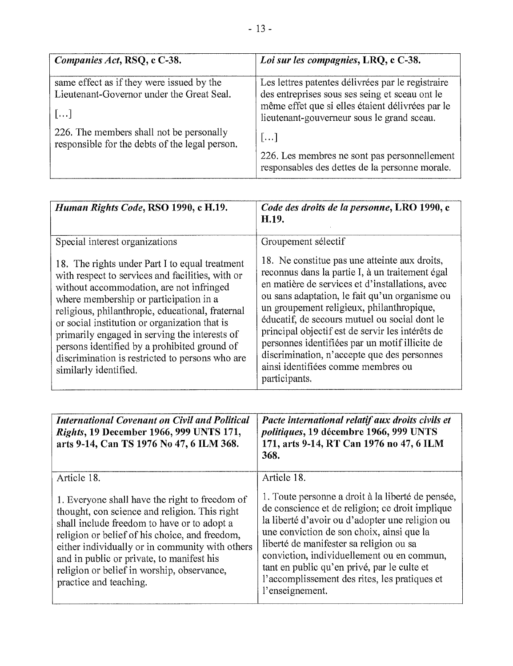| Companies Act, RSQ, c C-38.                                                                          | Loi sur les compagnies, LRQ, e C-38.                                                                                                                                                                  |
|------------------------------------------------------------------------------------------------------|-------------------------------------------------------------------------------------------------------------------------------------------------------------------------------------------------------|
| same effect as if they were issued by the<br>Lieutenant-Governor under the Great Seal.<br>$[\ldots]$ | Les lettres patentes délivrées par le registraire<br>des entreprises sous ses seing et sceau ont le<br>même effet que si elles étaient délivrées par le<br>lieutenant-gouverneur sous le grand sceau. |
| 226. The members shall not be personally<br>responsible for the debts of the legal person.           | []                                                                                                                                                                                                    |
|                                                                                                      | 226. Les membres ne sont pas personnellement<br>responsables des dettes de la personne morale.                                                                                                        |

| Human Rights Code, RSO 1990, c H.19.                                                                                                                                                                                                                                                                                                                                                                                                                                       | Code des droits de la personne, LRO 1990, c<br>H.19.                                                                                                                                                                                                                                                                                                                                                                                                                                                            |
|----------------------------------------------------------------------------------------------------------------------------------------------------------------------------------------------------------------------------------------------------------------------------------------------------------------------------------------------------------------------------------------------------------------------------------------------------------------------------|-----------------------------------------------------------------------------------------------------------------------------------------------------------------------------------------------------------------------------------------------------------------------------------------------------------------------------------------------------------------------------------------------------------------------------------------------------------------------------------------------------------------|
| Special interest organizations                                                                                                                                                                                                                                                                                                                                                                                                                                             | Groupement sélectif                                                                                                                                                                                                                                                                                                                                                                                                                                                                                             |
| 18. The rights under Part I to equal treatment<br>with respect to services and facilities, with or<br>without accommodation, are not infringed<br>where membership or participation in a<br>religious, philanthropic, educational, fraternal<br>or social institution or organization that is<br>primarily engaged in serving the interests of<br>persons identified by a prohibited ground of<br>discrimination is restricted to persons who are<br>similarly identified. | 18. Ne constitue pas une atteinte aux droits,<br>reconnus dans la partie I, à un traitement égal<br>en matière de services et d'installations, avec<br>ou sans adaptation, le fait qu'un organisme ou<br>un groupement religieux, philanthropique,<br>éducatif, de secours mutuel ou social dont le<br>principal objectif est de servir les intérêts de<br>personnes identifiées par un motif illicite de<br>discrimination, n'accepte que des personnes<br>ainsi identifiées comme membres ou<br>participants. |

| <b>International Covenant on Civil and Political</b><br><i>Rights</i> , 19 December 1966, 999 UNTS 171,<br>arts 9-14, Can TS 1976 No 47, 6 ILM 368.                                                                                                                                                                                                                      | Pacte international relatif aux droits civils et<br><i>politiques</i> , 19 décembre 1966, 999 UNTS<br>171, arts 9-14, RT Can 1976 no 47, 6 ILM<br>368.                                                                                                                                                                                                                                                           |
|--------------------------------------------------------------------------------------------------------------------------------------------------------------------------------------------------------------------------------------------------------------------------------------------------------------------------------------------------------------------------|------------------------------------------------------------------------------------------------------------------------------------------------------------------------------------------------------------------------------------------------------------------------------------------------------------------------------------------------------------------------------------------------------------------|
| Article 18.                                                                                                                                                                                                                                                                                                                                                              | Article 18.                                                                                                                                                                                                                                                                                                                                                                                                      |
| 1. Everyone shall have the right to freedom of<br>thought, con science and religion. This right<br>shall include freedom to have or to adopt a<br>religion or belief of his choice, and freedom,<br>either individually or in community with others<br>and in public or private, to manifest his<br>religion or belief in worship, observance,<br>practice and teaching. | 1. Toute personne a droit à la liberté de pensée,<br>de conscience et de religion; ce droit implique<br>la liberté d'avoir ou d'adopter une religion ou<br>une conviction de son choix, ainsi que la<br>liberté de manifester sa religion ou sa<br>conviction, individuellement ou en commun,<br>tant en public qu'en privé, par le culte et<br>l'accomplissement des rites, les pratiques et<br>l'enseignement. |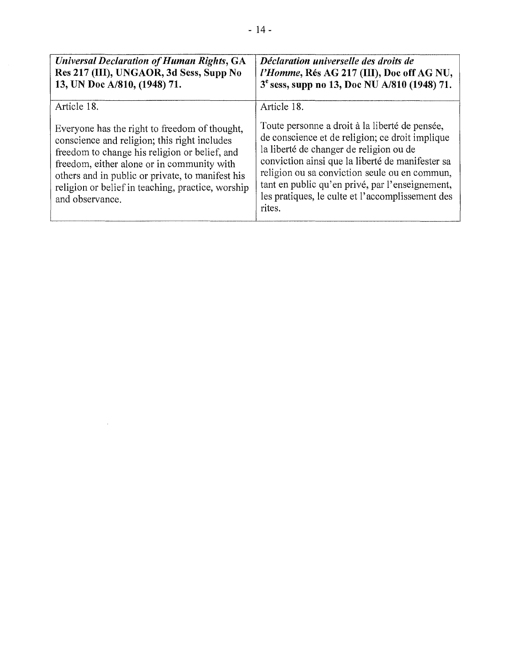| <b>Universal Declaration of Human Rights, GA</b><br>Res 217 (III), UNGAOR, 3d Sess, Supp No<br>13, UN Doc A/810, (1948) 71.                                                                                                                                                                                              | Déclaration universelle des droits de<br>l'Homme, Rés AG 217 (III), Doc off AG NU,<br>3 <sup>e</sup> sess, supp no 13, Doc NU A/810 (1948) 71.                                                                                                                                                                                                                     |
|--------------------------------------------------------------------------------------------------------------------------------------------------------------------------------------------------------------------------------------------------------------------------------------------------------------------------|--------------------------------------------------------------------------------------------------------------------------------------------------------------------------------------------------------------------------------------------------------------------------------------------------------------------------------------------------------------------|
| Article 18.                                                                                                                                                                                                                                                                                                              | Article 18.                                                                                                                                                                                                                                                                                                                                                        |
| Everyone has the right to freedom of thought,<br>conscience and religion; this right includes<br>freedom to change his religion or belief, and<br>freedom, either alone or in community with<br>others and in public or private, to manifest his<br>religion or belief in teaching, practice, worship<br>and observance. | Toute personne a droit à la liberté de pensée,<br>de conscience et de religion; ce droit implique<br>la liberté de changer de religion ou de<br>conviction ainsi que la liberté de manifester sa<br>religion ou sa conviction seule ou en commun,<br>tant en public qu'en privé, par l'enseignement,<br>les pratiques, le culte et l'accomplissement des<br>rites. |

 $\sim 10$